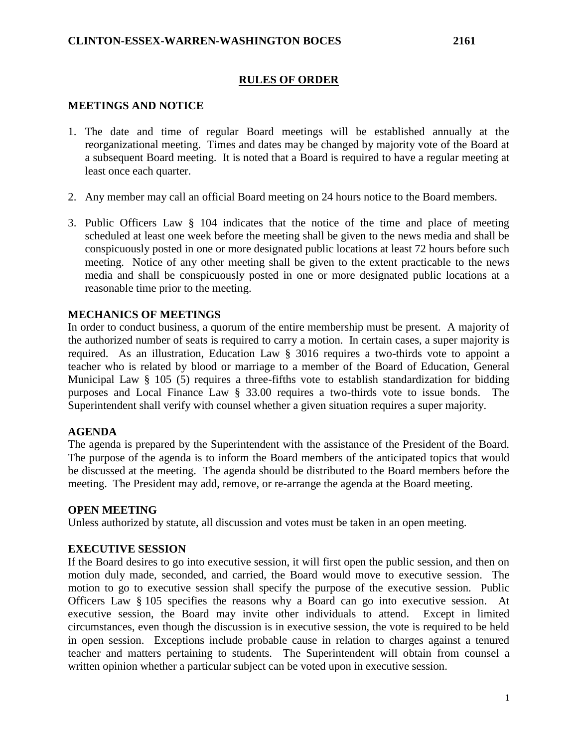## **RULES OF ORDER**

## **MEETINGS AND NOTICE**

- 1. The date and time of regular Board meetings will be established annually at the reorganizational meeting. Times and dates may be changed by majority vote of the Board at a subsequent Board meeting. It is noted that a Board is required to have a regular meeting at least once each quarter.
- 2. Any member may call an official Board meeting on 24 hours notice to the Board members.
- 3. Public Officers Law § 104 indicates that the notice of the time and place of meeting scheduled at least one week before the meeting shall be given to the news media and shall be conspicuously posted in one or more designated public locations at least 72 hours before such meeting. Notice of any other meeting shall be given to the extent practicable to the news media and shall be conspicuously posted in one or more designated public locations at a reasonable time prior to the meeting.

#### **MECHANICS OF MEETINGS**

In order to conduct business, a quorum of the entire membership must be present. A majority of the authorized number of seats is required to carry a motion. In certain cases, a super majority is required. As an illustration, Education Law § 3016 requires a two-thirds vote to appoint a teacher who is related by blood or marriage to a member of the Board of Education, General Municipal Law § 105 (5) requires a three-fifths vote to establish standardization for bidding purposes and Local Finance Law § 33.00 requires a two-thirds vote to issue bonds. The Superintendent shall verify with counsel whether a given situation requires a super majority.

### **AGENDA**

The agenda is prepared by the Superintendent with the assistance of the President of the Board. The purpose of the agenda is to inform the Board members of the anticipated topics that would be discussed at the meeting. The agenda should be distributed to the Board members before the meeting. The President may add, remove, or re-arrange the agenda at the Board meeting.

#### **OPEN MEETING**

Unless authorized by statute, all discussion and votes must be taken in an open meeting.

#### **EXECUTIVE SESSION**

If the Board desires to go into executive session, it will first open the public session, and then on motion duly made, seconded, and carried, the Board would move to executive session. The motion to go to executive session shall specify the purpose of the executive session. Public Officers Law § 105 specifies the reasons why a Board can go into executive session. At executive session, the Board may invite other individuals to attend. Except in limited circumstances, even though the discussion is in executive session, the vote is required to be held in open session. Exceptions include probable cause in relation to charges against a tenured teacher and matters pertaining to students. The Superintendent will obtain from counsel a written opinion whether a particular subject can be voted upon in executive session.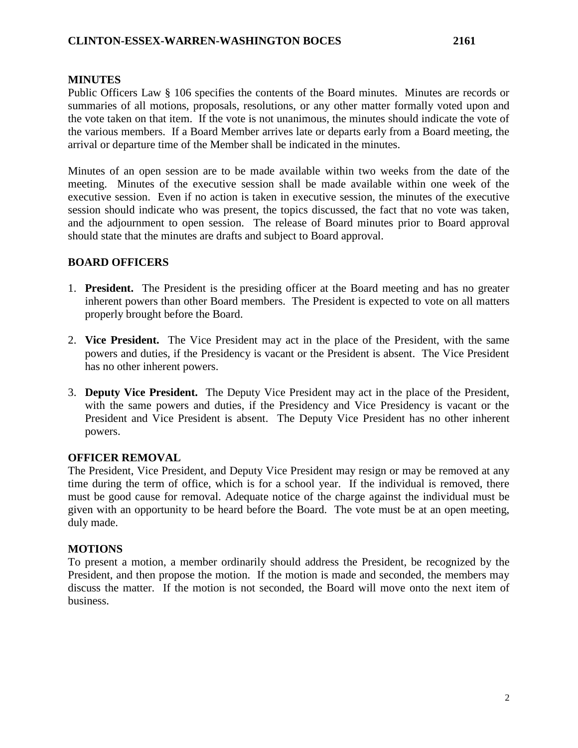## **MINUTES**

Public Officers Law § 106 specifies the contents of the Board minutes. Minutes are records or summaries of all motions, proposals, resolutions, or any other matter formally voted upon and the vote taken on that item. If the vote is not unanimous, the minutes should indicate the vote of the various members. If a Board Member arrives late or departs early from a Board meeting, the arrival or departure time of the Member shall be indicated in the minutes.

Minutes of an open session are to be made available within two weeks from the date of the meeting. Minutes of the executive session shall be made available within one week of the executive session. Even if no action is taken in executive session, the minutes of the executive session should indicate who was present, the topics discussed, the fact that no vote was taken, and the adjournment to open session. The release of Board minutes prior to Board approval should state that the minutes are drafts and subject to Board approval.

# **BOARD OFFICERS**

- 1. **President.** The President is the presiding officer at the Board meeting and has no greater inherent powers than other Board members. The President is expected to vote on all matters properly brought before the Board.
- 2. **Vice President.** The Vice President may act in the place of the President, with the same powers and duties, if the Presidency is vacant or the President is absent. The Vice President has no other inherent powers.
- 3. **Deputy Vice President.** The Deputy Vice President may act in the place of the President, with the same powers and duties, if the Presidency and Vice Presidency is vacant or the President and Vice President is absent. The Deputy Vice President has no other inherent powers.

### **OFFICER REMOVAL**

The President, Vice President, and Deputy Vice President may resign or may be removed at any time during the term of office, which is for a school year. If the individual is removed, there must be good cause for removal. Adequate notice of the charge against the individual must be given with an opportunity to be heard before the Board. The vote must be at an open meeting, duly made.

### **MOTIONS**

To present a motion, a member ordinarily should address the President, be recognized by the President, and then propose the motion. If the motion is made and seconded, the members may discuss the matter. If the motion is not seconded, the Board will move onto the next item of business.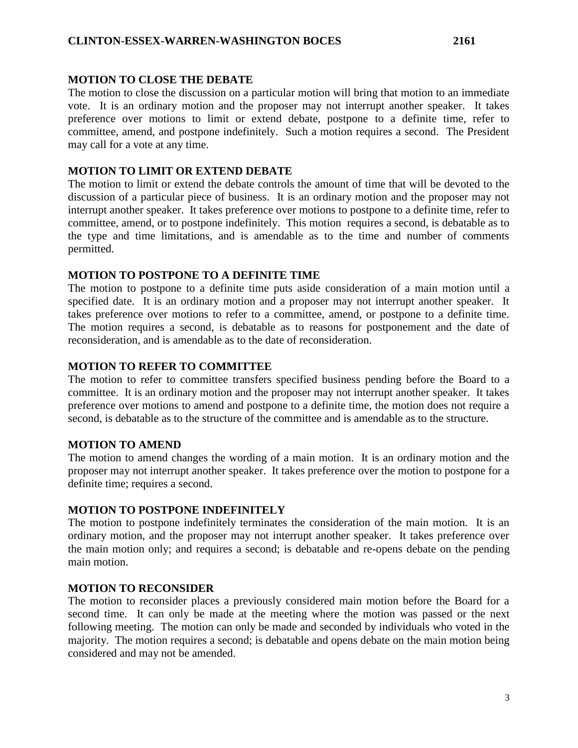#### **MOTION TO CLOSE THE DEBATE**

The motion to close the discussion on a particular motion will bring that motion to an immediate vote. It is an ordinary motion and the proposer may not interrupt another speaker. It takes preference over motions to limit or extend debate, postpone to a definite time, refer to committee, amend, and postpone indefinitely. Such a motion requires a second. The President may call for a vote at any time.

### **MOTION TO LIMIT OR EXTEND DEBATE**

The motion to limit or extend the debate controls the amount of time that will be devoted to the discussion of a particular piece of business. It is an ordinary motion and the proposer may not interrupt another speaker. It takes preference over motions to postpone to a definite time, refer to committee, amend, or to postpone indefinitely. This motion requires a second, is debatable as to the type and time limitations, and is amendable as to the time and number of comments permitted.

### **MOTION TO POSTPONE TO A DEFINITE TIME**

The motion to postpone to a definite time puts aside consideration of a main motion until a specified date. It is an ordinary motion and a proposer may not interrupt another speaker. It takes preference over motions to refer to a committee, amend, or postpone to a definite time. The motion requires a second, is debatable as to reasons for postponement and the date of reconsideration, and is amendable as to the date of reconsideration.

# **MOTION TO REFER TO COMMITTEE**

The motion to refer to committee transfers specified business pending before the Board to a committee. It is an ordinary motion and the proposer may not interrupt another speaker. It takes preference over motions to amend and postpone to a definite time, the motion does not require a second, is debatable as to the structure of the committee and is amendable as to the structure.

### **MOTION TO AMEND**

The motion to amend changes the wording of a main motion. It is an ordinary motion and the proposer may not interrupt another speaker. It takes preference over the motion to postpone for a definite time; requires a second.

### **MOTION TO POSTPONE INDEFINITELY**

The motion to postpone indefinitely terminates the consideration of the main motion. It is an ordinary motion, and the proposer may not interrupt another speaker. It takes preference over the main motion only; and requires a second; is debatable and re-opens debate on the pending main motion.

### **MOTION TO RECONSIDER**

The motion to reconsider places a previously considered main motion before the Board for a second time. It can only be made at the meeting where the motion was passed or the next following meeting. The motion can only be made and seconded by individuals who voted in the majority. The motion requires a second; is debatable and opens debate on the main motion being considered and may not be amended.